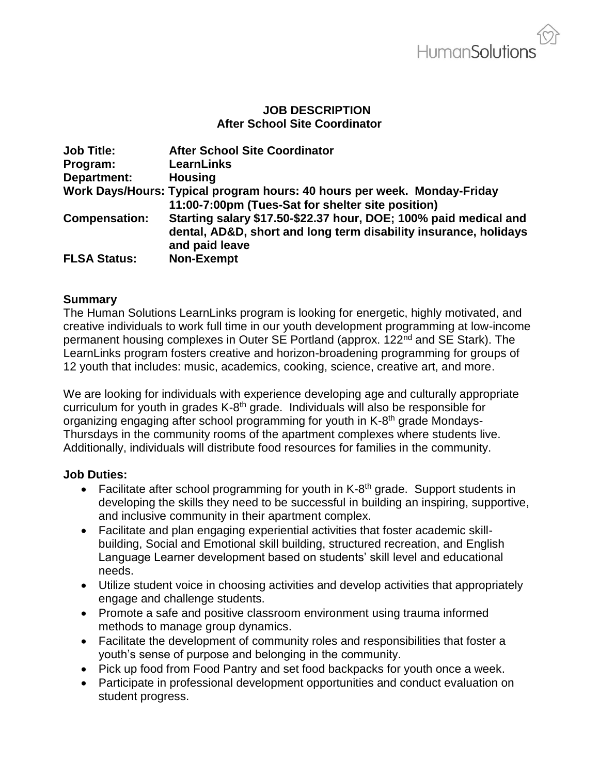#### **JOB DESCRIPTION After School Site Coordinator**

| <b>Job Title:</b>    | <b>After School Site Coordinator</b>                                                                                                                   |
|----------------------|--------------------------------------------------------------------------------------------------------------------------------------------------------|
| Program:             | <b>LearnLinks</b>                                                                                                                                      |
| Department:          | <b>Housing</b>                                                                                                                                         |
|                      | Work Days/Hours: Typical program hours: 40 hours per week. Monday-Friday<br>11:00-7:00pm (Tues-Sat for shelter site position)                          |
| <b>Compensation:</b> | Starting salary \$17.50-\$22.37 hour, DOE; 100% paid medical and<br>dental, AD&D, short and long term disability insurance, holidays<br>and paid leave |
| <b>FLSA Status:</b>  | <b>Non-Exempt</b>                                                                                                                                      |

#### **Summary**

The Human Solutions LearnLinks program is looking for energetic, highly motivated, and creative individuals to work full time in our youth development programming at low-income permanent housing complexes in Outer SE Portland (approx. 122<sup>nd</sup> and SE Stark). The LearnLinks program fosters creative and horizon-broadening programming for groups of 12 youth that includes: music, academics, cooking, science, creative art, and more.

We are looking for individuals with experience developing age and culturally appropriate curriculum for youth in grades K-8<sup>th</sup> grade. Individuals will also be responsible for organizing engaging after school programming for youth in K-8<sup>th</sup> grade Mondays-Thursdays in the community rooms of the apartment complexes where students live. Additionally, individuals will distribute food resources for families in the community.

#### **Job Duties:**

- Facilitate after school programming for youth in K-8<sup>th</sup> grade. Support students in developing the skills they need to be successful in building an inspiring, supportive, and inclusive community in their apartment complex.
- Facilitate and plan engaging experiential activities that foster academic skillbuilding, Social and Emotional skill building, structured recreation, and English Language Learner development based on students' skill level and educational needs.
- Utilize student voice in choosing activities and develop activities that appropriately engage and challenge students.
- Promote a safe and positive classroom environment using trauma informed methods to manage group dynamics.
- Facilitate the development of community roles and responsibilities that foster a youth's sense of purpose and belonging in the community.
- Pick up food from Food Pantry and set food backpacks for youth once a week.
- Participate in professional development opportunities and conduct evaluation on student progress.